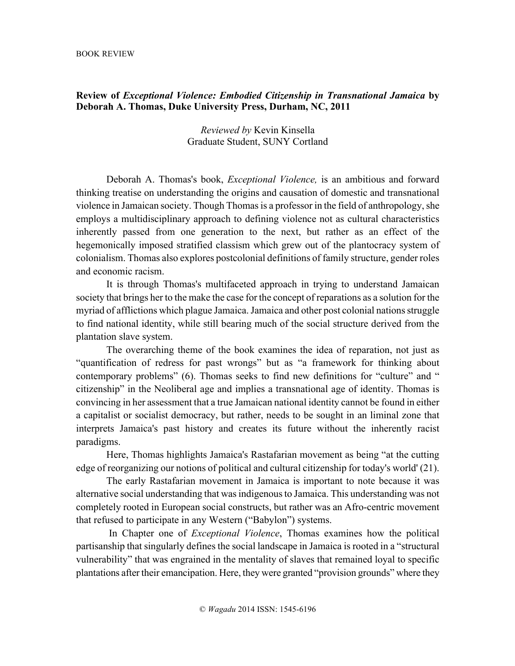## **Review of** *Exceptional Violence: Embodied Citizenship in Transnational Jamaica* **by Deborah A. Thomas, Duke University Press, Durham, NC, 2011**

## *Reviewed by* Kevin Kinsella Graduate Student, SUNY Cortland

Deborah A. Thomas's book, *Exceptional Violence,* is an ambitious and forward thinking treatise on understanding the origins and causation of domestic and transnational violence in Jamaican society. Though Thomas is a professor in the field of anthropology, she employs a multidisciplinary approach to defining violence not as cultural characteristics inherently passed from one generation to the next, but rather as an effect of the hegemonically imposed stratified classism which grew out of the plantocracy system of colonialism. Thomas also explores postcolonial definitions of family structure, gender roles and economic racism.

It is through Thomas's multifaceted approach in trying to understand Jamaican society that brings her to the make the case for the concept of reparations as a solution for the myriad of afflictions which plague Jamaica. Jamaica and other post colonial nations struggle to find national identity, while still bearing much of the social structure derived from the plantation slave system.

The overarching theme of the book examines the idea of reparation, not just as "quantification of redress for past wrongs" but as "a framework for thinking about contemporary problems" (6). Thomas seeks to find new definitions for "culture" and " citizenship" in the Neoliberal age and implies a transnational age of identity. Thomas is convincing in her assessment that a true Jamaican national identity cannot be found in either a capitalist or socialist democracy, but rather, needs to be sought in an liminal zone that interprets Jamaica's past history and creates its future without the inherently racist paradigms.

Here, Thomas highlights Jamaica's Rastafarian movement as being "at the cutting edge of reorganizing our notions of political and cultural citizenship for today's world' (21).

The early Rastafarian movement in Jamaica is important to note because it was alternative social understanding that was indigenous to Jamaica. This understanding was not completely rooted in European social constructs, but rather was an Afro-centric movement that refused to participate in any Western ("Babylon") systems.

In Chapter one of *Exceptional Violence*, Thomas examines how the political partisanship that singularly defines the social landscape in Jamaica is rooted in a "structural vulnerability" that was engrained in the mentality of slaves that remained loyal to specific plantations after their emancipation. Here, they were granted "provision grounds" where they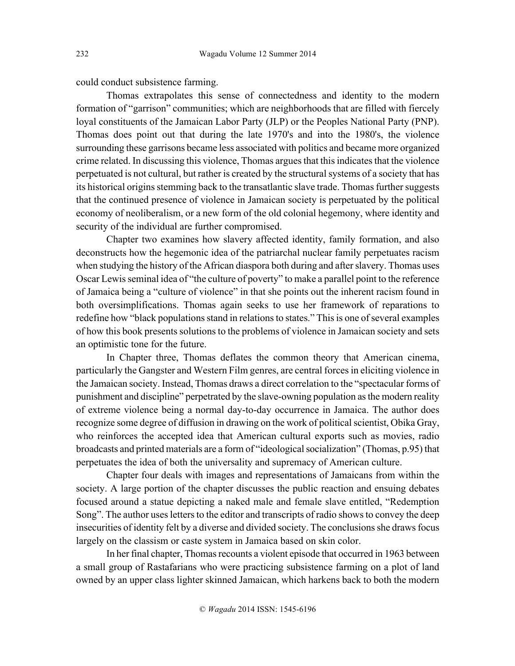could conduct subsistence farming.

Thomas extrapolates this sense of connectedness and identity to the modern formation of "garrison" communities; which are neighborhoods that are filled with fiercely loyal constituents of the Jamaican Labor Party (JLP) or the Peoples National Party (PNP). Thomas does point out that during the late 1970's and into the 1980's, the violence surrounding these garrisons became less associated with politics and became more organized crime related. In discussing this violence, Thomas argues that this indicates that the violence perpetuated is not cultural, but rather is created by the structural systems of a society that has its historical origins stemming back to the transatlantic slave trade. Thomas further suggests that the continued presence of violence in Jamaican society is perpetuated by the political economy of neoliberalism, or a new form of the old colonial hegemony, where identity and security of the individual are further compromised.

Chapter two examines how slavery affected identity, family formation, and also deconstructs how the hegemonic idea of the patriarchal nuclear family perpetuates racism when studying the history of the African diaspora both during and after slavery. Thomas uses Oscar Lewis seminal idea of "the culture of poverty" to make a parallel point to the reference of Jamaica being a "culture of violence" in that she points out the inherent racism found in both oversimplifications. Thomas again seeks to use her framework of reparations to redefine how "black populations stand in relations to states." This is one of several examples of how this book presents solutions to the problems of violence in Jamaican society and sets an optimistic tone for the future.

In Chapter three, Thomas deflates the common theory that American cinema, particularly the Gangster and Western Film genres, are central forces in eliciting violence in the Jamaican society. Instead, Thomas draws a direct correlation to the "spectacular forms of punishment and discipline" perpetrated by the slave-owning population as the modern reality of extreme violence being a normal day-to-day occurrence in Jamaica. The author does recognize some degree of diffusion in drawing on the work of political scientist, Obika Gray, who reinforces the accepted idea that American cultural exports such as movies, radio broadcasts and printed materials are a form of "ideological socialization" (Thomas, p.95) that perpetuates the idea of both the universality and supremacy of American culture.

Chapter four deals with images and representations of Jamaicans from within the society. A large portion of the chapter discusses the public reaction and ensuing debates focused around a statue depicting a naked male and female slave entitled, "Redemption Song". The author uses letters to the editor and transcripts of radio shows to convey the deep insecurities of identity felt by a diverse and divided society. The conclusions she draws focus largely on the classism or caste system in Jamaica based on skin color.

In her final chapter, Thomas recounts a violent episode that occurred in 1963 between a small group of Rastafarians who were practicing subsistence farming on a plot of land owned by an upper class lighter skinned Jamaican, which harkens back to both the modern